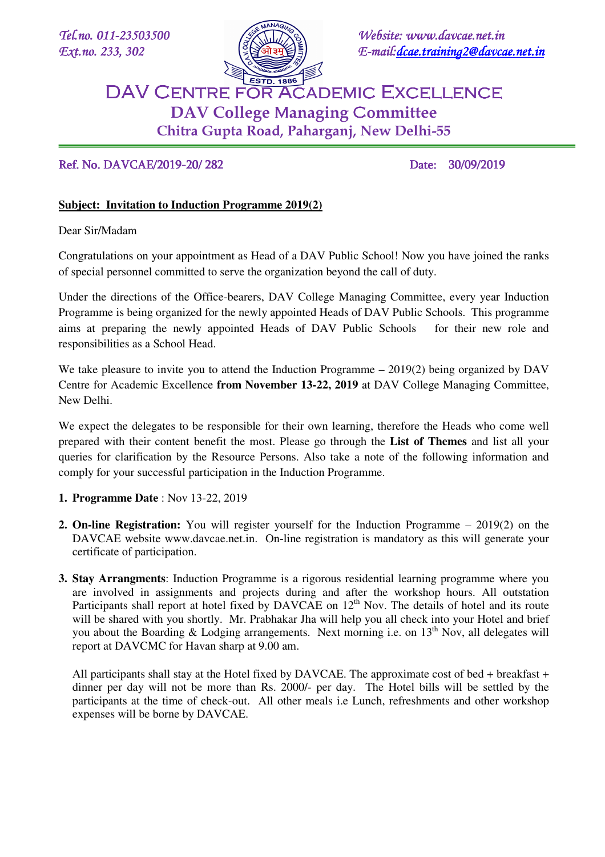

*Tel.no.* 011-23503500 **3503500 3503500 3503500** *3503500 3503500 3503500*  $Ext. no. 233, 302$   $\leq$   $\leq$   $\frac{1}{2}$   $\leq$   $\leq$   $\frac{1}{2}$   $\leq$   $\leq$   $\leq$   $\leq$   $\leq$   $\leq$   $\leq$   $\leq$   $\leq$   $\leq$   $\leq$   $\leq$   $\leq$   $\leq$   $\leq$   $\leq$   $\leq$   $\leq$   $\leq$   $\leq$   $\leq$   $\leq$   $\leq$   $\leq$   $\leq$   $\leq$   $\leq$ 

# DAV CENTRE FOR ACADEMIC EXCELLENCE **DAV College** M**anaging** C**ommittee Chitra Gupta Road, Paharganj, New Delhi-55**

## Ref. No. DAVCAE/2019-20/282 Date: 30/09/2019

## **Subject: Invitation to Induction Programme 2019(2)**

Dear Sir/Madam

E

Congratulations on your appointment as Head of a DAV Public School! Now you have joined the ranks of special personnel committed to serve the organization beyond the call of duty.

Under the directions of the Office-bearers, DAV College Managing Committee, every year Induction Programme is being organized for the newly appointed Heads of DAV Public Schools. This programme aims at preparing the newly appointed Heads of DAV Public Schools for their new role and responsibilities as a School Head.

We take pleasure to invite you to attend the Induction Programme – 2019(2) being organized by DAV Centre for Academic Excellence **from November 13-22, 2019** at DAV College Managing Committee, New Delhi.

We expect the delegates to be responsible for their own learning, therefore the Heads who come well prepared with their content benefit the most. Please go through the **List of Themes** and list all your queries for clarification by the Resource Persons. Also take a note of the following information and comply for your successful participation in the Induction Programme.

- **1. Programme Date** : Nov 13-22, 2019
- **2. On-line Registration:** You will register yourself for the Induction Programme 2019(2) on the DAVCAE website www.davcae.net.in. On-line registration is mandatory as this will generate your certificate of participation.
- **3. Stay Arrangments**: Induction Programme is a rigorous residential learning programme where you are involved in assignments and projects during and after the workshop hours. All outstation Participants shall report at hotel fixed by DAVCAE on 12<sup>th</sup> Nov. The details of hotel and its route will be shared with you shortly. Mr. Prabhakar Jha will help you all check into your Hotel and brief you about the Boarding & Lodging arrangements. Next morning i.e. on  $13<sup>th</sup>$  Nov, all delegates will report at DAVCMC for Havan sharp at 9.00 am.

All participants shall stay at the Hotel fixed by DAVCAE. The approximate cost of bed + breakfast + dinner per day will not be more than Rs. 2000/- per day. The Hotel bills will be settled by the participants at the time of check-out. All other meals i.e Lunch, refreshments and other workshop expenses will be borne by DAVCAE.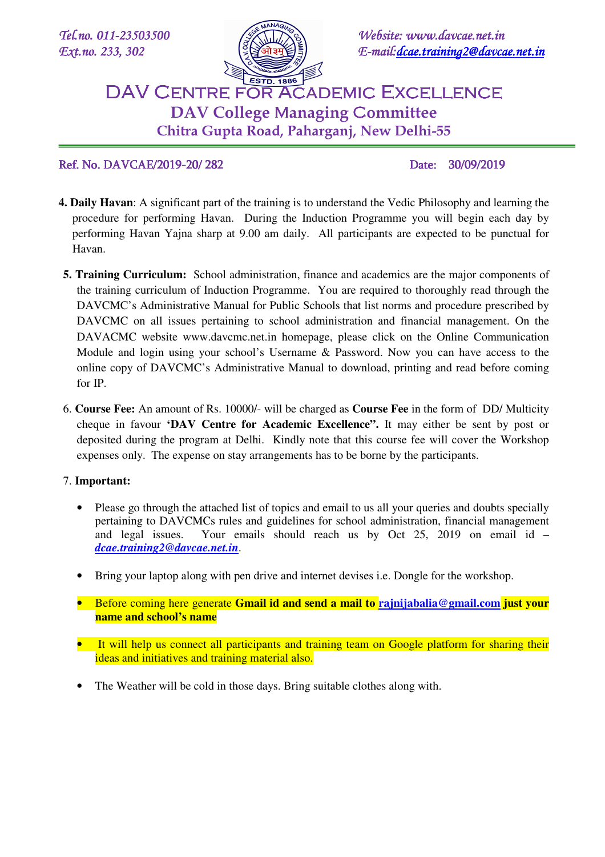E



*Tel.no.* 011-23503500 **3503500 3503500 3503500** *3503500 3503500 3503500*  $Ext. no. 233, 302$   $\leq$   $\leq$   $\frac{1}{2}$   $\leq$   $\leq$   $\frac{1}{2}$   $\leq$   $\leq$   $\leq$   $\leq$   $\leq$   $\leq$   $\leq$   $\leq$   $\leq$   $\leq$   $\leq$   $\leq$   $\leq$   $\leq$   $\leq$   $\leq$   $\leq$   $\leq$   $\leq$   $\leq$   $\leq$   $\leq$   $\leq$   $\leq$   $\leq$   $\leq$   $\leq$ 

# DAV CENTRE FOR ACADEMIC EXCELLENCE **DAV College** M**anaging** C**ommittee Chitra Gupta Road, Paharganj, New Delhi-55**

Ref. No. DAVCAE/2019-20/282 Date: 30/09/2019

- **4. Daily Havan**: A significant part of the training is to understand the Vedic Philosophy and learning the procedure for performing Havan. During the Induction Programme you will begin each day by performing Havan Yajna sharp at 9.00 am daily. All participants are expected to be punctual for Havan.
- **5. Training Curriculum:** School administration, finance and academics are the major components of the training curriculum of Induction Programme. You are required to thoroughly read through the DAVCMC's Administrative Manual for Public Schools that list norms and procedure prescribed by DAVCMC on all issues pertaining to school administration and financial management. On the DAVACMC website www.davcmc.net.in homepage, please click on the Online Communication Module and login using your school's Username & Password. Now you can have access to the online copy of DAVCMC's Administrative Manual to download, printing and read before coming for IP.
- 6. **Course Fee:** An amount of Rs. 10000/- will be charged as **Course Fee** in the form of DD/ Multicity cheque in favour **'DAV Centre for Academic Excellence".** It may either be sent by post or deposited during the program at Delhi. Kindly note that this course fee will cover the Workshop expenses only. The expense on stay arrangements has to be borne by the participants.

## 7. **Important:**

- Please go through the attached list of topics and email to us all your queries and doubts specially pertaining to DAVCMCs rules and guidelines for school administration, financial management and legal issues. Your emails should reach us by Oct 25, 2019 on email id – *dcae.training2@davcae.net.in*.
- Bring your laptop along with pen drive and internet devises i.e. Dongle for the workshop.
- Before coming here generate **Gmail id and send a mail to rajnijabalia@gmail.com just your name and school's name**
- It will help us connect all participants and training team on Google platform for sharing their ideas and initiatives and training material also.
- The Weather will be cold in those days. Bring suitable clothes along with.